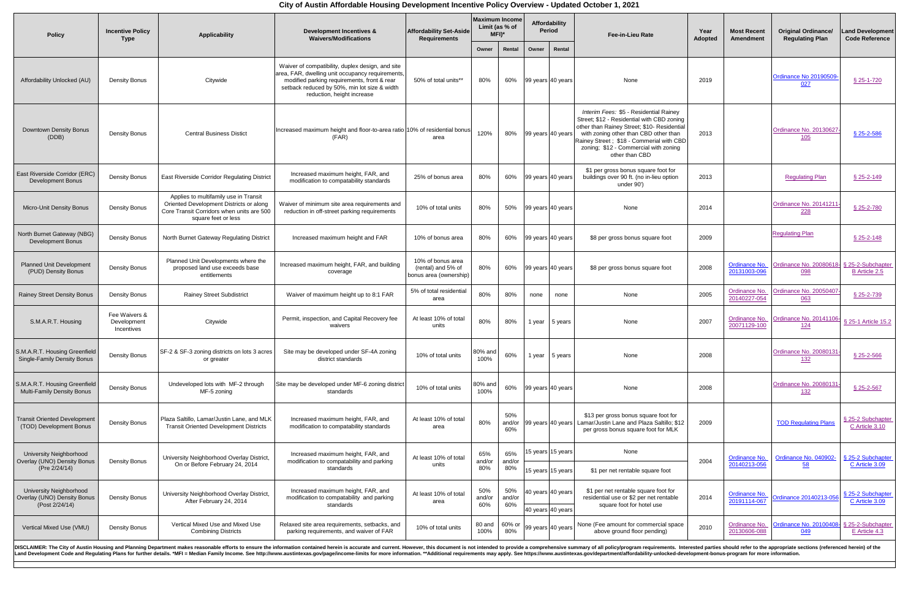## **City of Austin Affordable Housing Development Incentive Policy Overview - Updated October 1, 2021**

| <b>Policy</b>                                                                          | <b>Incentive Policy</b><br><b>Type</b>     | <b>Applicability</b>                                                                                                                                 | <b>Development Incentives &amp;</b><br><b>Waivers/Modifications</b>                                                                                                                                                               | <b>Affordability Set-Aside</b><br><b>Requirements</b>               | <b>Maximum Income</b><br>Limit (as % of<br>$MFI)^*$ |                      | Affordability<br><b>Period</b>         | <b>Fee-in-Lieu Rate</b>                                                                                                                                                                                                                                                             | Year<br><b>Adopted</b> | <b>Most Recent</b><br><b>Amendment</b> | <b>Original Ordinance/</b><br><b>Regulating Plan</b> | <b>Land Development</b><br><b>Code Reference</b> |
|----------------------------------------------------------------------------------------|--------------------------------------------|------------------------------------------------------------------------------------------------------------------------------------------------------|-----------------------------------------------------------------------------------------------------------------------------------------------------------------------------------------------------------------------------------|---------------------------------------------------------------------|-----------------------------------------------------|----------------------|----------------------------------------|-------------------------------------------------------------------------------------------------------------------------------------------------------------------------------------------------------------------------------------------------------------------------------------|------------------------|----------------------------------------|------------------------------------------------------|--------------------------------------------------|
|                                                                                        |                                            |                                                                                                                                                      |                                                                                                                                                                                                                                   |                                                                     | Owner                                               | Rental               | Rental<br>Owner                        |                                                                                                                                                                                                                                                                                     |                        |                                        |                                                      |                                                  |
| Affordability Unlocked (AU)                                                            | <b>Density Bonus</b>                       | Citywide                                                                                                                                             | Waiver of compatibility, duplex design, and site<br>area, FAR, dwelling unit occupancy requirements,<br>modified parking requirements, front & rear<br>setback reduced by 50%, min lot size & width<br>reduction, height increase | 50% of total units**                                                | 80%                                                 | 60%                  | 99 years 40 years                      | None                                                                                                                                                                                                                                                                                | 2019                   |                                        | Ordinance No 20190509-<br>027                        | § 25-1-720                                       |
| <b>Downtown Density Bonus</b><br>(DDB)                                                 | <b>Density Bonus</b>                       | <b>Central Business Distict</b>                                                                                                                      | Increased maximum height and floor-to-area ratio 10% of residential bonus<br>(FAR)                                                                                                                                                | area                                                                | 120%                                                | 80%                  | $\vert$ 99 years $\vert$ 40 years      | Interim Fees: \$5 - Residential Rainey<br>Street; \$12 - Residential with CBD zoning<br>other than Rainey Street; \$10- Residential<br>with zoning other than CBD other than<br>Rainey Street; \$18 - Commerial with CBD<br>zoning; \$12 - Commercial with zoning<br>other than CBD | 2013                   |                                        | Ordinance No. 20130627<br><u> 105</u>                | § 25-2-586                                       |
| <b>East Riverside Corridor (ERC)</b><br><b>Development Bonus</b>                       | <b>Density Bonus</b>                       | <b>East Riverside Corridor Regulating District</b>                                                                                                   | Increased maximum height, FAR, and<br>modification to compatability standards                                                                                                                                                     | 25% of bonus area                                                   | 80%                                                 |                      | 60%   99 years 40 years                | \$1 per gross bonus square foot for<br>buildings over 90 ft. (no in-lieu option<br>under 90')                                                                                                                                                                                       | 2013                   |                                        | <b>Regulating Plan</b>                               | § 25-2-149                                       |
| <b>Micro-Unit Density Bonus</b>                                                        | <b>Density Bonus</b>                       | Applies to multifamily use in Transit<br>Oriented Development Districts or along<br>Core Transit Corridors when units are 500<br>square feet or less | Waiver of minimum site area requirements and<br>reduction in off-street parking requirements                                                                                                                                      | 10% of total units                                                  | 80%                                                 | 50%                  | $\vert$ 99 years 40 years              | <b>None</b>                                                                                                                                                                                                                                                                         | 2014                   |                                        | Ordinance No. 20141211<br><u> 228</u>                | § 25-2-780                                       |
| North Burnet Gateway (NBG)<br><b>Development Bonus</b>                                 | <b>Density Bonus</b>                       | North Burnet Gateway Regulating District                                                                                                             | Increased maximum height and FAR                                                                                                                                                                                                  | 10% of bonus area                                                   | 80%                                                 | 60%                  | $ 99 \text{ years} 40 \text{ years}$   | \$8 per gross bonus square foot                                                                                                                                                                                                                                                     | 2009                   |                                        | <b>Regulating Plan</b>                               | § 25-2-148                                       |
| <b>Planned Unit Development</b><br>(PUD) Density Bonus                                 | <b>Density Bonus</b>                       | Planned Unit Developments where the<br>proposed land use exceeds base<br>entitlements                                                                | Increased maximum height, FAR, and building<br>coverage                                                                                                                                                                           | 10% of bonus area<br>(rental) and 5% of<br>I bonus area (ownership) | 80%                                                 | 60%                  | 99 years 40 years                      | \$8 per gross bonus square foot                                                                                                                                                                                                                                                     | 2008                   | <b>Ordinance No.</b><br>20131003-096   | <b>Ordinance No. 20080618-</b><br>098                | § 25-2-Subchapter<br><b>B</b> Article 2.5        |
| <b>Rainey Street Density Bonus</b>                                                     | <b>Density Bonus</b>                       | <b>Rainey Street Subdistrict</b>                                                                                                                     | Waiver of maximum height up to 8:1 FAR                                                                                                                                                                                            | 5% of total residential<br>area                                     | 80%                                                 | 80%                  | none<br>none                           | None                                                                                                                                                                                                                                                                                | 2005                   | <b>Ordinance No.</b><br>20140227-054   | <b>Ordinance No. 20050407</b><br>063                 | § 25-2-739                                       |
| S.M.A.R.T. Housing                                                                     | Fee Waivers &<br>Development<br>Incentives | Citywide                                                                                                                                             | Permit, inspection, and Capital Recovery fee<br>waivers                                                                                                                                                                           | At least 10% of total<br>units                                      | 80%                                                 | 80%                  | 1 year<br>5 years                      | None                                                                                                                                                                                                                                                                                | 2007                   | Ordinance No.<br>20071129-100          | Ordinance No. 20141106-<br><u> 124</u>               | § 25-1 Article 15.2                              |
| S.M.A.R.T. Housing Greenfield<br><b>Single-Family Density Bonus</b>                    | <b>Density Bonus</b>                       | SF-2 & SF-3 zoning districts on lots 3 acres<br>or greater                                                                                           | Site may be developed under SF-4A zoning<br>district standards                                                                                                                                                                    | 10% of total units                                                  | 80% and<br>100%                                     | 60%                  | 1 year<br>5 years                      | None                                                                                                                                                                                                                                                                                | 2008                   |                                        | <b>Ordinance No. 20080131</b><br><u> 132</u>         | $$25 - 2 - 566$                                  |
| S.M.A.R.T. Housing Greenfield<br><b>Multi-Family Density Bonus</b>                     | <b>Density Bonus</b>                       | Undeveloped lots with MF-2 through<br>MF-5 zoning                                                                                                    | Site may be developed under MF-6 zoning district<br>standards                                                                                                                                                                     | 10% of total units                                                  | 80% and<br>1000/<br>10070                           | 60%                  | $\vert$ 99 years 40 years              | None                                                                                                                                                                                                                                                                                | 2008                   |                                        | <b>Ordinance No. 20080131</b><br><u>132</u>          | § 25-2-567                                       |
| <b>Transit Oriented Development</b><br>(TOD) Development Bonus                         | <b>Density Bonus</b>                       | Plaza Saltillo, Lamar/Justin Lane, and MLK<br><b>Transit Oriented Development Districts</b>                                                          | Increased maximum height, FAR, and<br>modification to compatability standards                                                                                                                                                     | At least 10% of total<br>area                                       | 80%                                                 | 50%<br>and/or<br>60% | $ 99 \text{ years} 40 \text{ years} $  | \$13 per gross bonus square foot for<br>Lamar/Justin Lane and Plaza Saltillo; \$12<br>per gross bonus square foot for MLK                                                                                                                                                           | 2009                   |                                        | <b>TOD Regulating Plans</b>                          | § 25-2 Subchapter<br>C Article 3.10              |
| <b>University Neighborhood</b><br><b>Overlay (UNO) Density Bonus</b><br>(Pre 2/24/14)  | <b>Density Bonus</b>                       | University Neighborhood Overlay District,<br>On or Before February 24, 2014                                                                          | Increased maximum height, FAR, and<br>modification to compatability and parking<br>standards                                                                                                                                      | At least 10% of total<br>units                                      | 65%<br>and/or<br>80%                                | 65%<br>and/or<br>80% | 15 years 15 years<br>15 years 15 years | None<br>\$1 per net rentable square foot                                                                                                                                                                                                                                            | 2004                   | <b>Ordinance No.</b><br>20140213-056   | Ordinance No. 040902-<br>58                          | § 25-2 Subchapter<br>C Article 3.09              |
| <b>University Neighborhood</b><br><b>Overlay (UNO) Density Bonus</b><br>(Post 2/24/14) | <b>Density Bonus</b>                       | University Neighborhood Overlay District,<br>After February 24, 2014                                                                                 | Increased maximum height, FAR, and<br>modification to compatability and parking<br>standards                                                                                                                                      | At least 10% of total<br>area                                       | 50%<br>and/or<br>60%                                | 50%<br>and/or<br>60% | 40 years 40 years<br>40 years 40 years | \$1 per net rentable square foot for<br>residential use or \$2 per net rentable<br>square foot for hotel use                                                                                                                                                                        | 2014                   | <b>Ordinance No.</b><br>20191114-067   | Ordinance 20140213-056                               | § 25-2 Subchapter<br>C Article 3.09              |
| <b>Vertical Mixed Use (VMU)</b>                                                        | <b>Density Bonus</b>                       | Vertical Mixed Use and Mixed Use<br><b>Combining Districts</b>                                                                                       | Relaxed site area requirements, setbacks, and<br>parking requirements, and waiver of FAR                                                                                                                                          | 10% of total units                                                  | 80 and<br>100%                                      | 60% or<br>80%        | 99 years 40 years                      | None (Fee amount for commercial space<br>above ground floor pending)                                                                                                                                                                                                                | 2010                   | <b>Ordinance No.</b><br>20130606-088   | <b>Ordinance No. 20100408-</b><br>049                | § 25-2-Subchapter<br>E Article 4.3               |
|                                                                                        |                                            |                                                                                                                                                      | DISCLAIMER: The City of Austin Housing and Planning Department makes reasonable efforts to ensure the information contained herein is accurate and current. However, this document is not intended to provide a comprehensive     |                                                                     |                                                     |                      |                                        |                                                                                                                                                                                                                                                                                     |                        |                                        |                                                      |                                                  |

Land Development Code and Regulating Plans for further details. \*MFI = Median Family Income. See http://www.austintexas.gov/page/income-limits for more information. \*\*Additional requirements may apply. See https://www.aust